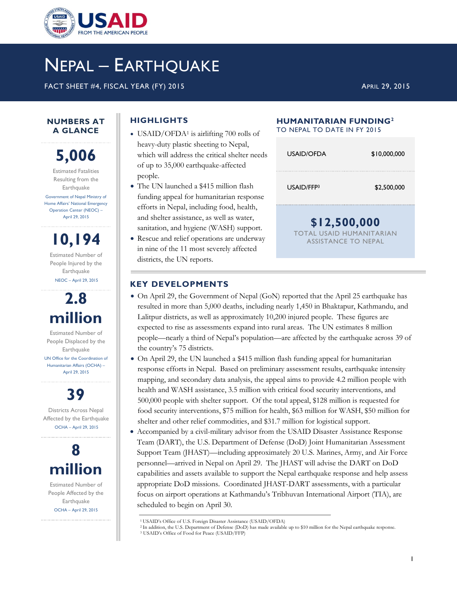

# NEPAL – EARTHQUAKE

FACT SHEET #4, FISCAL YEAR (FY) 2015 APRIL 29, 2015

## **HIGHLIGHTS**

- USAID/OFDA<sup>1</sup> is airlifting 700 rolls of heavy-duty plastic sheeting to Nepal, which will address the critical shelter needs of up to 35,000 earthquake-affected people.
- The UN launched a \$415 million flash funding appeal for humanitarian response efforts in Nepal, including food, health, and shelter assistance, as well as water, sanitation, and hygiene (WASH) support.
- Rescue and relief operations are underway in nine of the 11 most severely affected districts, the UN reports.

#### **HUMANITARIAN FUNDING<sup>2</sup>** TO NEPAL TO DATE IN FY 2015

| USAID/OFDA                                                             | \$10,000,000 |  |
|------------------------------------------------------------------------|--------------|--|
| USAID/FFP3                                                             | \$2,500,000  |  |
| \$12,500,000<br><b>TOTAL USAID HUMANITARIAN</b><br>ASSISTANCE TO NEPAL |              |  |

#### **KEY DEVELOPMENTS**

- On April 29, the Government of Nepal (GoN) reported that the April 25 earthquake has resulted in more than 5,000 deaths, including nearly 1,450 in Bhaktapur, Kathmandu, and Lalitpur districts, as well as approximately 10,200 injured people. These figures are expected to rise as assessments expand into rural areas. The UN estimates 8 million people—nearly a third of Nepal's population—are affected by the earthquake across 39 of the country's 75 districts.
- On April 29, the UN launched a \$415 million flash funding appeal for humanitarian response efforts in Nepal. Based on preliminary assessment results, earthquake intensity mapping, and secondary data analysis, the appeal aims to provide 4.2 million people with health and WASH assistance, 3.5 million with critical food security interventions, and 500,000 people with shelter support. Of the total appeal, \$128 million is requested for food security interventions, \$75 million for health, \$63 million for WASH, \$50 million for shelter and other relief commodities, and \$31.7 million for logistical support.
- Accompanied by a civil-military advisor from the USAID Disaster Assistance Response Team (DART), the U.S. Department of Defense (DoD) Joint Humanitarian Assessment Support Team (JHAST)—including approximately 20 U.S. Marines, Army, and Air Force personnel—arrived in Nepal on April 29. The JHAST will advise the DART on DoD capabilities and assets available to support the Nepal earthquake response and help assess appropriate DoD missions. Coordinated JHAST-DART assessments, with a particular focus on airport operations at Kathmandu's Tribhuvan International Airport (TIA), are scheduled to begin on April 30.

**5,006** Estimated Fatalities Resulting from the **Earthquake** Government of Nepal Ministry of Home Affairs' National Emergency Operation Center (NEOC) –

April 29, 2015

**NUMBERS AT A GLANCE**

**10,194** Estimated Number of People Injured by the **Earthquake** NEOC – April 29, 2015

# **2.8 million**

Estimated Number of People Displaced by the **Earthquake** UN Office for the Coordination of Humanitarian Affairs (OCHA) – April 29, 2015



Districts Across Nepal Affected by the Earthquake OCHA – April 29, 2015



Estimated Number of People Affected by the **Earthquake** OCHA – April 29, 2015

<sup>1</sup>USAID's Office of U.S. Foreign Disaster Assistance (USAID/OFDA)

<sup>2</sup>In addition, the U.S. Department of Defense (DoD) has made available up to \$10 million for the Nepal earthquake response.

<sup>3</sup> USAID's Office of Food for Peace (USAID/FFP)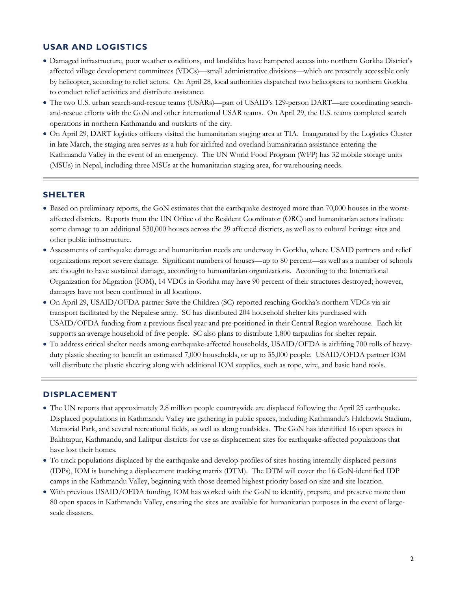#### **USAR AND LOGISTICS**

- Damaged infrastructure, poor weather conditions, and landslides have hampered access into northern Gorkha District's affected village development committees (VDCs)—small administrative divisions—which are presently accessible only by helicopter, according to relief actors. On April 28, local authorities dispatched two helicopters to northern Gorkha to conduct relief activities and distribute assistance.
- The two U.S. urban search-and-rescue teams (USARs)—part of USAID's 129-person DART—are coordinating searchand-rescue efforts with the GoN and other international USAR teams. On April 29, the U.S. teams completed search operations in northern Kathmandu and outskirts of the city.
- On April 29, DART logistics officers visited the humanitarian staging area at TIA. Inaugurated by the Logistics Cluster in late March, the staging area serves as a hub for airlifted and overland humanitarian assistance entering the Kathmandu Valley in the event of an emergency. The UN World Food Program (WFP) has 32 mobile storage units (MSUs) in Nepal, including three MSUs at the humanitarian staging area, for warehousing needs.

#### **SHELTER**

- Based on preliminary reports, the GoN estimates that the earthquake destroyed more than 70,000 houses in the worstaffected districts. Reports from the UN Office of the Resident Coordinator (ORC) and humanitarian actors indicate some damage to an additional 530,000 houses across the 39 affected districts, as well as to cultural heritage sites and other public infrastructure.
- Assessments of earthquake damage and humanitarian needs are underway in Gorkha, where USAID partners and relief organizations report severe damage. Significant numbers of houses—up to 80 percent—as well as a number of schools are thought to have sustained damage, according to humanitarian organizations. According to the International Organization for Migration (IOM), 14 VDCs in Gorkha may have 90 percent of their structures destroyed; however, damages have not been confirmed in all locations.
- On April 29, USAID/OFDA partner Save the Children (SC) reported reaching Gorkha's northern VDCs via air transport facilitated by the Nepalese army. SC has distributed 204 household shelter kits purchased with USAID/OFDA funding from a previous fiscal year and pre-positioned in their Central Region warehouse. Each kit supports an average household of five people. SC also plans to distribute 1,800 tarpaulins for shelter repair.
- To address critical shelter needs among earthquake-affected households, USAID/OFDA is airlifting 700 rolls of heavyduty plastic sheeting to benefit an estimated 7,000 households, or up to 35,000 people. USAID/OFDA partner IOM will distribute the plastic sheeting along with additional IOM supplies, such as rope, wire, and basic hand tools.

#### **DISPLACEMENT**

- The UN reports that approximately 2.8 million people countrywide are displaced following the April 25 earthquake. Displaced populations in Kathmandu Valley are gathering in public spaces, including Kathmandu's Halchowk Stadium, Memorial Park, and several recreational fields, as well as along roadsides. The GoN has identified 16 open spaces in Bakhtapur, Kathmandu, and Lalitpur districts for use as displacement sites for earthquake-affected populations that have lost their homes.
- To track populations displaced by the earthquake and develop profiles of sites hosting internally displaced persons (IDPs), IOM is launching a displacement tracking matrix (DTM). The DTM will cover the 16 GoN-identified IDP camps in the Kathmandu Valley, beginning with those deemed highest priority based on size and site location.
- With previous USAID/OFDA funding, IOM has worked with the GoN to identify, prepare, and preserve more than 80 open spaces in Kathmandu Valley, ensuring the sites are available for humanitarian purposes in the event of largescale disasters.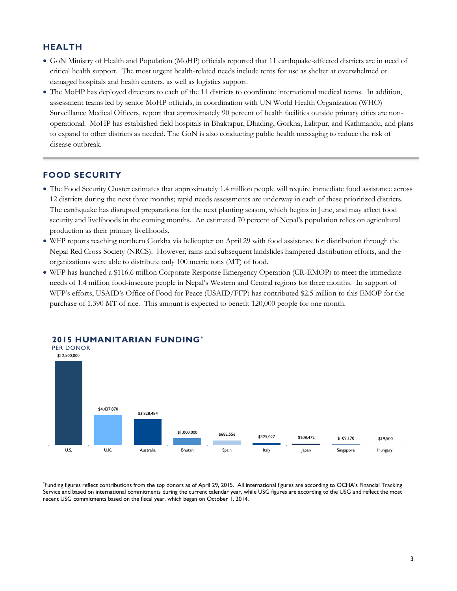#### **HEALTH**

- GoN Ministry of Health and Population (MoHP) officials reported that 11 earthquake-affected districts are in need of critical health support. The most urgent health-related needs include tents for use as shelter at overwhelmed or damaged hospitals and health centers, as well as logistics support.
- The MoHP has deployed directors to each of the 11 districts to coordinate international medical teams. In addition, assessment teams led by senior MoHP officials, in coordination with UN World Health Organization (WHO) Surveillance Medical Officers, report that approximately 90 percent of health facilities outside primary cities are nonoperational. MoHP has established field hospitals in Bhaktapur, Dhading, Gorkha, Lalitpur, and Kathmandu, and plans to expand to other districts as needed. The GoN is also conducting public health messaging to reduce the risk of disease outbreak.

#### **FOOD SECURITY**

- The Food Security Cluster estimates that approximately 1.4 million people will require immediate food assistance across 12 districts during the next three months; rapid needs assessments are underway in each of these prioritized districts. The earthquake has disrupted preparations for the next planting season, which begins in June, and may affect food security and livelihoods in the coming months. An estimated 70 percent of Nepal's population relies on agricultural production as their primary livelihoods.
- WFP reports reaching northern Gorkha via helicopter on April 29 with food assistance for distribution through the Nepal Red Cross Society (NRCS). However, rains and subsequent landslides hampered distribution efforts, and the organizations were able to distribute only 100 metric tons (MT) of food.
- WFP has launched a \$116.6 million Corporate Response Emergency Operation (CR-EMOP) to meet the immediate needs of 1.4 million food-insecure people in Nepal's Western and Central regions for three months. In support of WFP's efforts, USAID's Office of Food for Peace (USAID/FFP) has contributed \$2.5 million to this EMOP for the purchase of 1,390 MT of rice. This amount is expected to benefit 120,000 people for one month.



**2015 HUMANITARIAN FUNDING\***

\* Funding figures reflect contributions from the top donors as of April 29, 2015. All international figures are according to OCHA's Financial Tracking Service and based on international commitments during the current calendar year, while USG figures are according to the USG and reflect the most recent USG commitments based on the fiscal year, which began on October 1, 2014.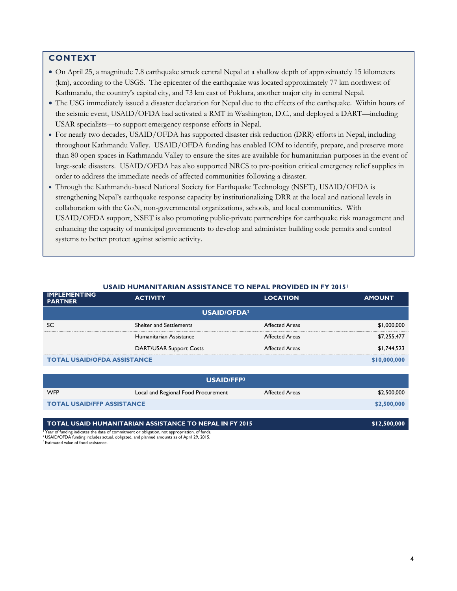### **CONTEXT**

- On April 25, a magnitude 7.8 earthquake struck central Nepal at a shallow depth of approximately 15 kilometers (km), according to the USGS. The epicenter of the earthquake was located approximately 77 km northwest of Kathmandu, the country's capital city, and 73 km east of Pokhara, another major city in central Nepal.
- The USG immediately issued a disaster declaration for Nepal due to the effects of the earthquake. Within hours of the seismic event, USAID/OFDA had activated a RMT in Washington, D.C., and deployed a DART—including USAR specialists—to support emergency response efforts in Nepal.
- For nearly two decades, USAID/OFDA has supported disaster risk reduction (DRR) efforts in Nepal, including throughout Kathmandu Valley. USAID/OFDA funding has enabled IOM to identify, prepare, and preserve more than 80 open spaces in Kathmandu Valley to ensure the sites are available for humanitarian purposes in the event of large-scale disasters. USAID/OFDA has also supported NRCS to pre-position critical emergency relief supplies in order to address the immediate needs of affected communities following a disaster.
- Through the Kathmandu-based National Society for Earthquake Technology (NSET), USAID/OFDA is strengthening Nepal's earthquake response capacity by institutionalizing DRR at the local and national levels in collaboration with the GoN, non-governmental organizations, schools, and local communities. With USAID/OFDA support, NSET is also promoting public-private partnerships for earthquake risk management and enhancing the capacity of municipal governments to develop and administer building code permits and control systems to better protect against seismic activity.

| <b>PARTNER</b>                     | <b>ACTIVITY</b>                     | <b>LOCATION</b>       | <b>AMOUNT</b> |  |
|------------------------------------|-------------------------------------|-----------------------|---------------|--|
| <b>USAID/OFDA<sup>2</sup></b>      |                                     |                       |               |  |
| SC                                 | <b>Shelter and Settlements</b>      | <b>Affected Areas</b> | \$1,000,000   |  |
|                                    | Humanitarian Assistance             | <b>Affected Areas</b> | \$7,255,477   |  |
|                                    | <b>DART/USAR Support Costs</b>      | <b>Affected Areas</b> | \$1,744,523   |  |
| <b>TOTAL USAID/OFDA ASSISTANCE</b> |                                     | \$10,000,000          |               |  |
|                                    |                                     |                       |               |  |
| <b>USAID/FFP3</b>                  |                                     |                       |               |  |
| <b>WFP</b>                         | Local and Regional Food Procurement | <b>Affected Areas</b> | \$2,500,000   |  |
| <b>TOTAL USAID/FFP ASSISTANCE</b>  |                                     |                       | \$2,500,000   |  |

**TOTAL USAID HUMANITARIAN ASSISTANCE TO NEPAL IN FY 2015 \$12,500,000** 

#### **USAID HUMANITARIAN ASSISTANCE TO NEPAL PROVIDED IN FY 2015<sup>1</sup>**

<sup>1</sup> Year of funding indicates the date of commitment or obligation, not appropriation, of funds.

<sup>2</sup> USAID/OFDA funding includes actual, obligated, and planned amounts as of April 29, 2015.

<sup>3</sup> Estimated value of food assistance.

**IMPLEMENTING**